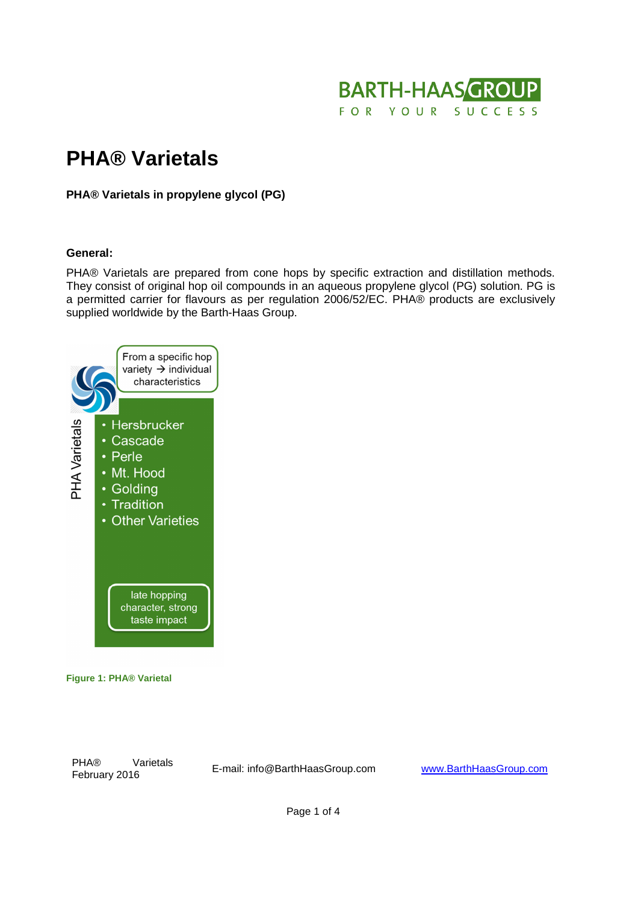

# **PHA® Varietals**

**PHA® Varietals in propylene glycol (PG)** 

#### **General:**

PHA® Varietals are prepared from cone hops by specific extraction and distillation methods. They consist of original hop oil compounds in an aqueous propylene glycol (PG) solution. PG is a permitted carrier for flavours as per regulation 2006/52/EC. PHA® products are exclusively supplied worldwide by the Barth-Haas Group.



#### **Figure 1: PHA® Varietal**

PHA® Varietals

PHA® varietals<br>February 2016 **E**-mail: info@BarthHaasGroup.com www.BarthHaasGroup.com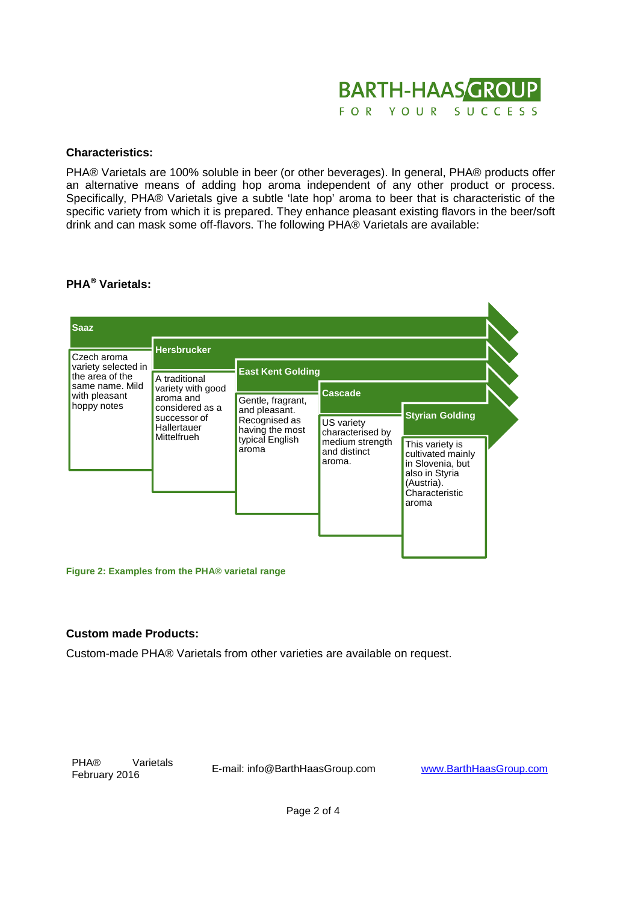

## **Characteristics:**

PHA® Varietals are 100% soluble in beer (or other beverages). In general, PHA® products offer an alternative means of adding hop aroma independent of any other product or process. Specifically, PHA® Varietals give a subtle 'late hop' aroma to beer that is characteristic of the specific variety from which it is prepared. They enhance pleasant existing flavors in the beer/soft drink and can mask some off-flavors. The following PHA® Varietals are available:

# **PHA Varietals:**



**Figure 2: Examples from the PHA® varietal range**

## **Custom made Products:**

Custom-made PHA® Varietals from other varieties are available on request.

PHA® Varietals

Frikt valietals E-mail: info@BarthHaasGroup.com www.BarthHaasGroup.com<br>February 2016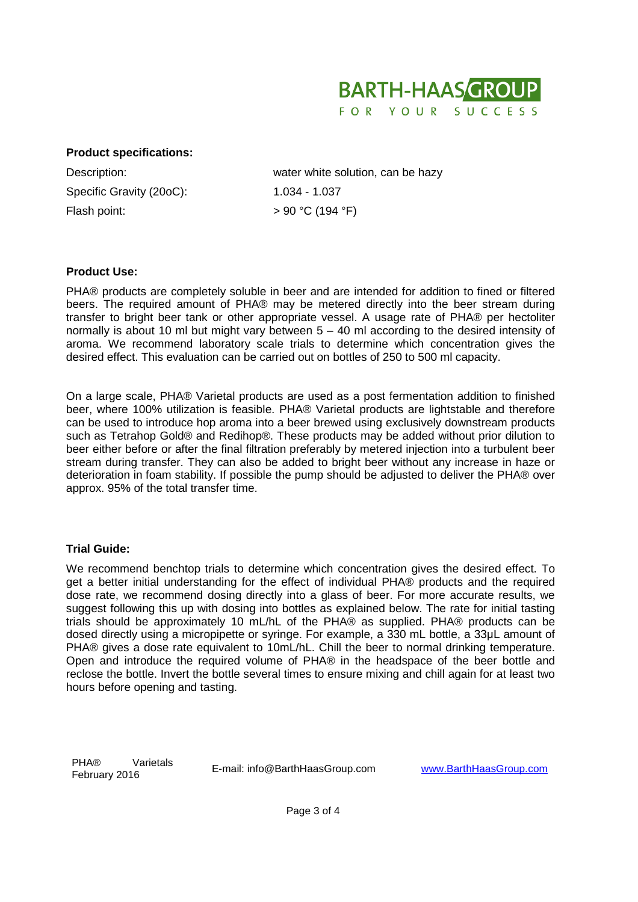

## **Product specifications:**

Specific Gravity (20oC): 1.034 - 1.037 Flash point:  $> 90 °C$  (194 °F)

Description: water white solution, can be hazy

## **Product Use:**

PHA® products are completely soluble in beer and are intended for addition to fined or filtered beers. The required amount of PHA® may be metered directly into the beer stream during transfer to bright beer tank or other appropriate vessel. A usage rate of PHA® per hectoliter normally is about 10 ml but might vary between 5 – 40 ml according to the desired intensity of aroma. We recommend laboratory scale trials to determine which concentration gives the desired effect. This evaluation can be carried out on bottles of 250 to 500 ml capacity.

On a large scale, PHA® Varietal products are used as a post fermentation addition to finished beer, where 100% utilization is feasible. PHA® Varietal products are lightstable and therefore can be used to introduce hop aroma into a beer brewed using exclusively downstream products such as Tetrahop Gold® and Redihop®. These products may be added without prior dilution to beer either before or after the final filtration preferably by metered injection into a turbulent beer stream during transfer. They can also be added to bright beer without any increase in haze or deterioration in foam stability. If possible the pump should be adjusted to deliver the PHA® over approx. 95% of the total transfer time.

## **Trial Guide:**

We recommend benchtop trials to determine which concentration gives the desired effect. To get a better initial understanding for the effect of individual PHA® products and the required dose rate, we recommend dosing directly into a glass of beer. For more accurate results, we suggest following this up with dosing into bottles as explained below. The rate for initial tasting trials should be approximately 10 mL/hL of the PHA® as supplied. PHA® products can be dosed directly using a micropipette or syringe. For example, a 330 mL bottle, a 33μL amount of PHA® gives a dose rate equivalent to 10mL/hL. Chill the beer to normal drinking temperature. Open and introduce the required volume of PHA® in the headspace of the beer bottle and reclose the bottle. Invert the bottle several times to ensure mixing and chill again for at least two hours before opening and tasting.

PHA® Varietals Friko valietais E-mail: info@BarthHaasGroup.com www.BarthHaasGroup.com<br>February 2016